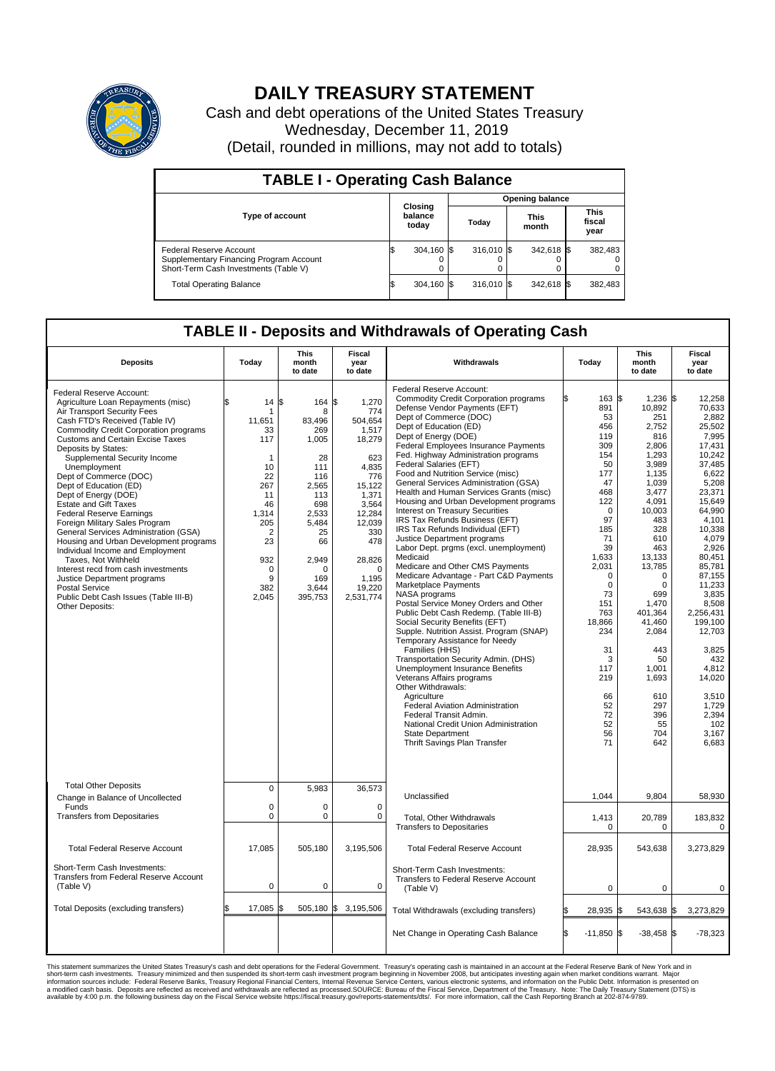

## **DAILY TREASURY STATEMENT**

Cash and debt operations of the United States Treasury Wednesday, December 11, 2019 (Detail, rounded in millions, may not add to totals)

| <b>TABLE I - Operating Cash Balance</b>                                                                     |    |                             |                        |             |  |                      |  |                               |  |  |  |
|-------------------------------------------------------------------------------------------------------------|----|-----------------------------|------------------------|-------------|--|----------------------|--|-------------------------------|--|--|--|
|                                                                                                             |    |                             | <b>Opening balance</b> |             |  |                      |  |                               |  |  |  |
| <b>Type of account</b>                                                                                      |    | Closing<br>balance<br>today |                        | Today       |  | <b>This</b><br>month |  | <b>This</b><br>fiscal<br>year |  |  |  |
| Federal Reserve Account<br>Supplementary Financing Program Account<br>Short-Term Cash Investments (Table V) |    | 304.160 \$                  |                        | $316.010$ S |  | 342,618 \$           |  | 382,483                       |  |  |  |
| <b>Total Operating Balance</b>                                                                              | ıъ | 304,160 \$                  |                        | $316.010$ S |  | 342,618 \$           |  | 382,483                       |  |  |  |

## **TABLE II - Deposits and Withdrawals of Operating Cash**

| <b>Deposits</b>                                                                                                                                                                                                                                                                                                                                                                                                                                                                                                                                                                                                                                                                                                                                                                             | Today                                                                                                                                                        | <b>This</b><br>month<br>to date                                                                                                                                | Fiscal<br>year<br>to date                                                                                                                                                             | <b>Withdrawals</b>                                                                                                                                                                                                                                                                                                                                                                                                                                                                                                                                                                                                                                                                                                                                                                                                                                                                                                                                                                                                                                                                                                                                                                                                                                                                                                | Today                                                                                                                                                                                                                                                                       | <b>This</b><br>month<br>to date                                                                                                                                                                                                                                                                                        | Fiscal<br>year<br>to date                                                                                                                                                                                                                                                                                                                                 |
|---------------------------------------------------------------------------------------------------------------------------------------------------------------------------------------------------------------------------------------------------------------------------------------------------------------------------------------------------------------------------------------------------------------------------------------------------------------------------------------------------------------------------------------------------------------------------------------------------------------------------------------------------------------------------------------------------------------------------------------------------------------------------------------------|--------------------------------------------------------------------------------------------------------------------------------------------------------------|----------------------------------------------------------------------------------------------------------------------------------------------------------------|---------------------------------------------------------------------------------------------------------------------------------------------------------------------------------------|-------------------------------------------------------------------------------------------------------------------------------------------------------------------------------------------------------------------------------------------------------------------------------------------------------------------------------------------------------------------------------------------------------------------------------------------------------------------------------------------------------------------------------------------------------------------------------------------------------------------------------------------------------------------------------------------------------------------------------------------------------------------------------------------------------------------------------------------------------------------------------------------------------------------------------------------------------------------------------------------------------------------------------------------------------------------------------------------------------------------------------------------------------------------------------------------------------------------------------------------------------------------------------------------------------------------|-----------------------------------------------------------------------------------------------------------------------------------------------------------------------------------------------------------------------------------------------------------------------------|------------------------------------------------------------------------------------------------------------------------------------------------------------------------------------------------------------------------------------------------------------------------------------------------------------------------|-----------------------------------------------------------------------------------------------------------------------------------------------------------------------------------------------------------------------------------------------------------------------------------------------------------------------------------------------------------|
| Federal Reserve Account:<br>Agriculture Loan Repayments (misc)<br>Air Transport Security Fees<br>Cash FTD's Received (Table IV)<br><b>Commodity Credit Corporation programs</b><br><b>Customs and Certain Excise Taxes</b><br>Deposits by States:<br>Supplemental Security Income<br>Unemployment<br>Dept of Commerce (DOC)<br>Dept of Education (ED)<br>Dept of Energy (DOE)<br><b>Estate and Gift Taxes</b><br><b>Federal Reserve Earnings</b><br>Foreign Military Sales Program<br>General Services Administration (GSA)<br>Housing and Urban Development programs<br>Individual Income and Employment<br>Taxes. Not Withheld<br>Interest recd from cash investments<br>Justice Department programs<br><b>Postal Service</b><br>Public Debt Cash Issues (Table III-B)<br>Other Deposits: | \$<br>$14 \,$ $\uparrow$<br>11,651<br>33<br>117<br>1<br>10<br>22<br>267<br>11<br>46<br>1,314<br>205<br>$\overline{2}$<br>23<br>932<br>0<br>9<br>382<br>2,045 | 164 \$<br>8<br>83.496<br>269<br>1,005<br>28<br>111<br>116<br>2,565<br>113<br>698<br>2,533<br>5.484<br>25<br>66<br>2,949<br>$\Omega$<br>169<br>3,644<br>395,753 | 1,270<br>774<br>504,654<br>1,517<br>18,279<br>623<br>4.835<br>776<br>15,122<br>1,371<br>3,564<br>12,284<br>12,039<br>330<br>478<br>28,826<br>$\Omega$<br>1,195<br>19,220<br>2,531,774 | Federal Reserve Account:<br><b>Commodity Credit Corporation programs</b><br>Defense Vendor Payments (EFT)<br>Dept of Commerce (DOC)<br>Dept of Education (ED)<br>Dept of Energy (DOE)<br>Federal Employees Insurance Payments<br>Fed. Highway Administration programs<br>Federal Salaries (EFT)<br>Food and Nutrition Service (misc)<br>General Services Administration (GSA)<br>Health and Human Services Grants (misc)<br>Housing and Urban Development programs<br>Interest on Treasury Securities<br>IRS Tax Refunds Business (EFT)<br>IRS Tax Refunds Individual (EFT)<br>Justice Department programs<br>Labor Dept. prgms (excl. unemployment)<br>Medicaid<br>Medicare and Other CMS Payments<br>Medicare Advantage - Part C&D Payments<br>Marketplace Payments<br>NASA programs<br>Postal Service Money Orders and Other<br>Public Debt Cash Redemp. (Table III-B)<br>Social Security Benefits (EFT)<br>Supple. Nutrition Assist. Program (SNAP)<br>Temporary Assistance for Needy<br>Families (HHS)<br>Transportation Security Admin. (DHS)<br>Unemployment Insurance Benefits<br>Veterans Affairs programs<br>Other Withdrawals:<br>Agriculture<br>Federal Aviation Administration<br>Federal Transit Admin.<br>National Credit Union Administration<br>State Department<br>Thrift Savings Plan Transfer | 163<br>۱Ŧ.<br>891<br>53<br>456<br>119<br>309<br>154<br>50<br>177<br>47<br>468<br>122<br>$\Omega$<br>97<br>185<br>71<br>39<br>1,633<br>2,031<br>$\mathbf 0$<br>$\mathbf 0$<br>73<br>151<br>763<br>18,866<br>234<br>31<br>3<br>117<br>219<br>66<br>52<br>72<br>52<br>56<br>71 | S.<br>1.236<br>10,892<br>251<br>2,752<br>816<br>2.806<br>1,293<br>3,989<br>1,135<br>1,039<br>3,477<br>4,091<br>10.003<br>483<br>328<br>610<br>463<br>13,133<br>13,785<br>$\mathbf 0$<br>$\Omega$<br>699<br>1,470<br>401.364<br>41,460<br>2,084<br>443<br>50<br>1,001<br>1,693<br>610<br>297<br>396<br>55<br>704<br>642 | l\$<br>12,258<br>70.633<br>2,882<br>25,502<br>7,995<br>17.431<br>10,242<br>37,485<br>6.622<br>5,208<br>23,371<br>15,649<br>64.990<br>4,101<br>10.338<br>4,079<br>2,926<br>80,451<br>85.781<br>87,155<br>11,233<br>3,835<br>8,508<br>2.256.431<br>199,100<br>12,703<br>3,825<br>432<br>4.812<br>14,020<br>3.510<br>1,729<br>2,394<br>102<br>3,167<br>6.683 |
| <b>Total Other Deposits</b><br>Change in Balance of Uncollected                                                                                                                                                                                                                                                                                                                                                                                                                                                                                                                                                                                                                                                                                                                             | 0                                                                                                                                                            | 5,983                                                                                                                                                          | 36,573                                                                                                                                                                                | Unclassified                                                                                                                                                                                                                                                                                                                                                                                                                                                                                                                                                                                                                                                                                                                                                                                                                                                                                                                                                                                                                                                                                                                                                                                                                                                                                                      | 1,044                                                                                                                                                                                                                                                                       | 9,804                                                                                                                                                                                                                                                                                                                  | 58,930                                                                                                                                                                                                                                                                                                                                                    |
| Funds<br><b>Transfers from Depositaries</b>                                                                                                                                                                                                                                                                                                                                                                                                                                                                                                                                                                                                                                                                                                                                                 | $\mathbf 0$<br>$\mathbf 0$                                                                                                                                   | $\Omega$<br>$\mathbf 0$                                                                                                                                        | $\mathbf 0$<br>$\mathbf 0$                                                                                                                                                            | Total, Other Withdrawals<br><b>Transfers to Depositaries</b>                                                                                                                                                                                                                                                                                                                                                                                                                                                                                                                                                                                                                                                                                                                                                                                                                                                                                                                                                                                                                                                                                                                                                                                                                                                      | 1,413<br>$\mathbf 0$                                                                                                                                                                                                                                                        | 20,789<br>$\mathbf 0$                                                                                                                                                                                                                                                                                                  | 183,832<br>$\mathbf 0$                                                                                                                                                                                                                                                                                                                                    |
| <b>Total Federal Reserve Account</b>                                                                                                                                                                                                                                                                                                                                                                                                                                                                                                                                                                                                                                                                                                                                                        | 17,085                                                                                                                                                       | 505,180                                                                                                                                                        | 3,195,506                                                                                                                                                                             | <b>Total Federal Reserve Account</b>                                                                                                                                                                                                                                                                                                                                                                                                                                                                                                                                                                                                                                                                                                                                                                                                                                                                                                                                                                                                                                                                                                                                                                                                                                                                              | 28,935                                                                                                                                                                                                                                                                      | 543,638                                                                                                                                                                                                                                                                                                                | 3,273,829                                                                                                                                                                                                                                                                                                                                                 |
| Short-Term Cash Investments:<br>Transfers from Federal Reserve Account<br>(Table V)                                                                                                                                                                                                                                                                                                                                                                                                                                                                                                                                                                                                                                                                                                         | $\mathbf 0$                                                                                                                                                  | 0                                                                                                                                                              | $\mathbf 0$                                                                                                                                                                           | Short-Term Cash Investments:<br>Transfers to Federal Reserve Account<br>(Table V)                                                                                                                                                                                                                                                                                                                                                                                                                                                                                                                                                                                                                                                                                                                                                                                                                                                                                                                                                                                                                                                                                                                                                                                                                                 | $\mathbf 0$                                                                                                                                                                                                                                                                 | $\mathbf 0$                                                                                                                                                                                                                                                                                                            | $\Omega$                                                                                                                                                                                                                                                                                                                                                  |
| Total Deposits (excluding transfers)                                                                                                                                                                                                                                                                                                                                                                                                                                                                                                                                                                                                                                                                                                                                                        | \$<br>17,085                                                                                                                                                 | \$                                                                                                                                                             | 505,180 \$ 3,195,506                                                                                                                                                                  | Total Withdrawals (excluding transfers)                                                                                                                                                                                                                                                                                                                                                                                                                                                                                                                                                                                                                                                                                                                                                                                                                                                                                                                                                                                                                                                                                                                                                                                                                                                                           | 28,935                                                                                                                                                                                                                                                                      | 543,638<br>\$                                                                                                                                                                                                                                                                                                          | 3,273,829<br>\$                                                                                                                                                                                                                                                                                                                                           |
|                                                                                                                                                                                                                                                                                                                                                                                                                                                                                                                                                                                                                                                                                                                                                                                             |                                                                                                                                                              |                                                                                                                                                                |                                                                                                                                                                                       | Net Change in Operating Cash Balance                                                                                                                                                                                                                                                                                                                                                                                                                                                                                                                                                                                                                                                                                                                                                                                                                                                                                                                                                                                                                                                                                                                                                                                                                                                                              | Ŝ.<br>$-11.850$ \$                                                                                                                                                                                                                                                          | $-38,458$ \$                                                                                                                                                                                                                                                                                                           | $-78,323$                                                                                                                                                                                                                                                                                                                                                 |

This statement summarizes the United States Treasury's cash and debt operations for the Federal Government. Treasury soperating in November 2008, but anticiarded in a cocount at the Federal metaformation sources investment